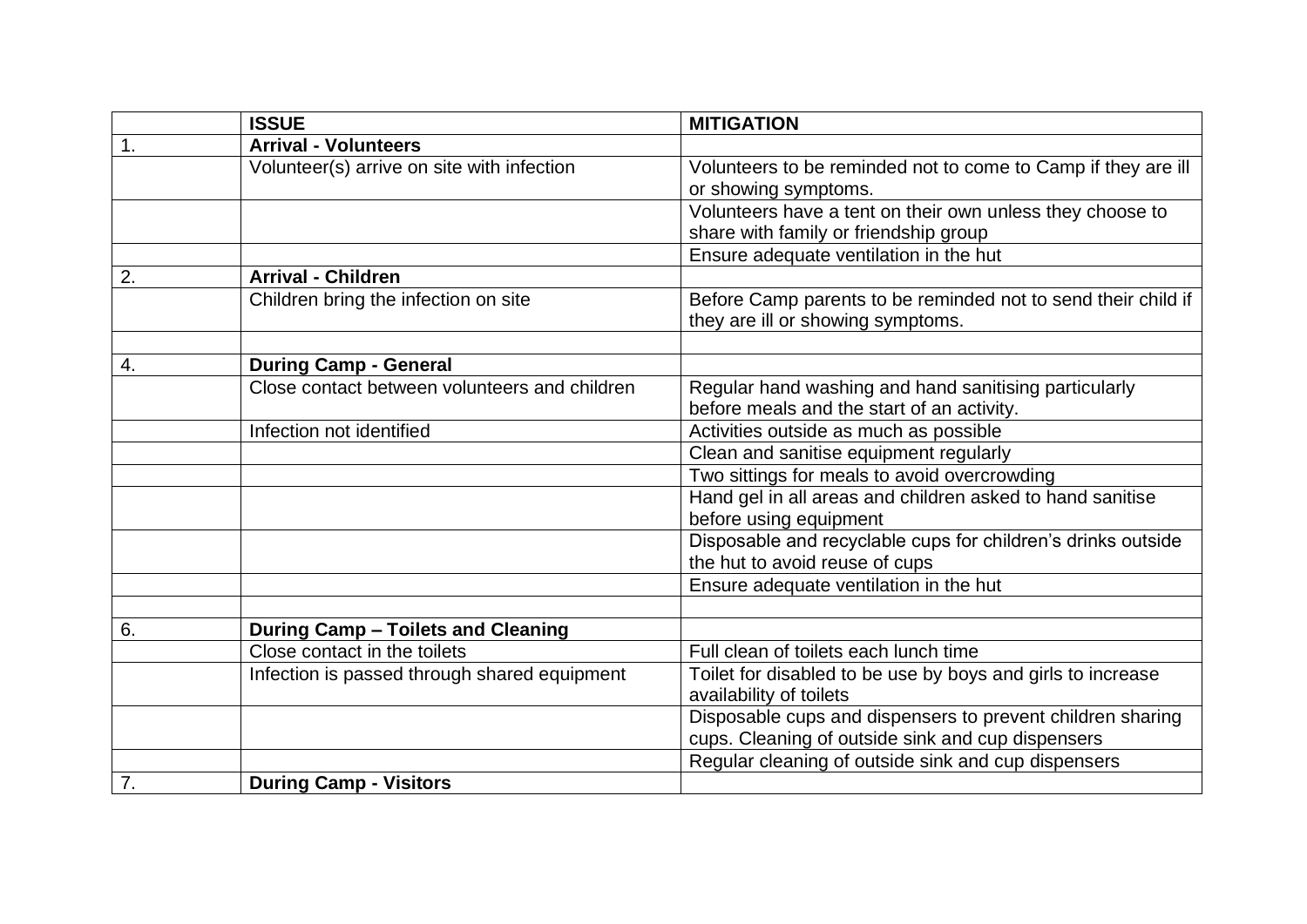|                  | <b>ISSUE</b>                                  | <b>MITIGATION</b>                                                                                  |
|------------------|-----------------------------------------------|----------------------------------------------------------------------------------------------------|
| 1.               | <b>Arrival - Volunteers</b>                   |                                                                                                    |
|                  | Volunteer(s) arrive on site with infection    | Volunteers to be reminded not to come to Camp if they are ill<br>or showing symptoms.              |
|                  |                                               | Volunteers have a tent on their own unless they choose to<br>share with family or friendship group |
|                  |                                               | Ensure adequate ventilation in the hut                                                             |
| 2.               | <b>Arrival - Children</b>                     |                                                                                                    |
|                  | Children bring the infection on site          | Before Camp parents to be reminded not to send their child if<br>they are ill or showing symptoms. |
|                  |                                               |                                                                                                    |
| 4.               | <b>During Camp - General</b>                  |                                                                                                    |
|                  | Close contact between volunteers and children | Regular hand washing and hand sanitising particularly                                              |
|                  |                                               | before meals and the start of an activity.                                                         |
|                  | Infection not identified                      | Activities outside as much as possible                                                             |
|                  |                                               | Clean and sanitise equipment regularly                                                             |
|                  |                                               | Two sittings for meals to avoid overcrowding                                                       |
|                  |                                               | Hand gel in all areas and children asked to hand sanitise<br>before using equipment                |
|                  |                                               | Disposable and recyclable cups for children's drinks outside<br>the hut to avoid reuse of cups     |
|                  |                                               | Ensure adequate ventilation in the hut                                                             |
| 6.               | During Camp - Toilets and Cleaning            |                                                                                                    |
|                  | Close contact in the toilets                  | Full clean of toilets each lunch time                                                              |
|                  | Infection is passed through shared equipment  | Toilet for disabled to be use by boys and girls to increase                                        |
|                  |                                               | availability of toilets                                                                            |
|                  |                                               | Disposable cups and dispensers to prevent children sharing                                         |
|                  |                                               | cups. Cleaning of outside sink and cup dispensers                                                  |
|                  |                                               | Regular cleaning of outside sink and cup dispensers                                                |
| $\overline{7}$ . | <b>During Camp - Visitors</b>                 |                                                                                                    |